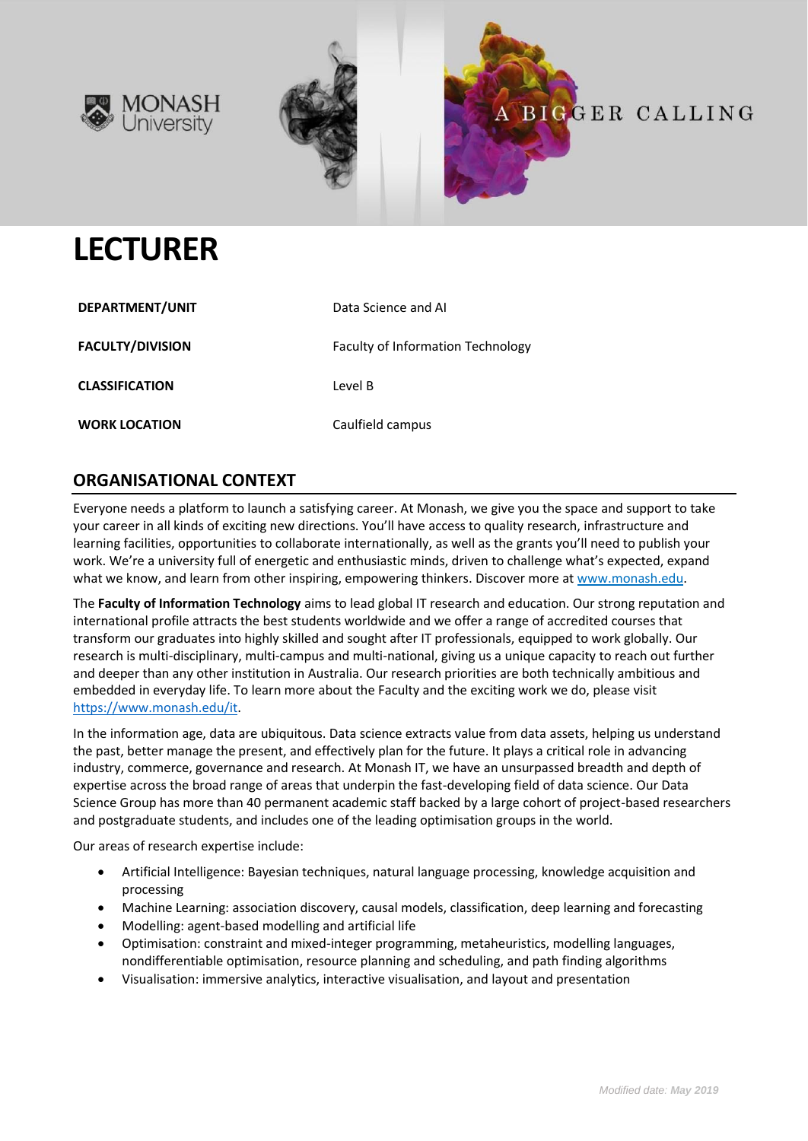



# **LECTURER**

| DEPARTMENT/UNIT         | Data Science and Al               |
|-------------------------|-----------------------------------|
| <b>FACULTY/DIVISION</b> | Faculty of Information Technology |
| <b>CLASSIFICATION</b>   | Level B                           |
| <b>WORK LOCATION</b>    | Caulfield campus                  |

# **ORGANISATIONAL CONTEXT**

Everyone needs a platform to launch a satisfying career. At Monash, we give you the space and support to take your career in all kinds of exciting new directions. You'll have access to quality research, infrastructure and learning facilities, opportunities to collaborate internationally, as well as the grants you'll need to publish your work. We're a university full of energetic and enthusiastic minds, driven to challenge what's expected, expand what we know, and learn from other inspiring, empowering thinkers. Discover more a[t www.monash.edu.](http://www.monash.edu/)

The **Faculty of Information Technology** aims to lead global IT research and education. Our strong reputation and international profile attracts the best students worldwide and we offer a range of accredited courses that transform our graduates into highly skilled and sought after IT professionals, equipped to work globally. Our research is multi-disciplinary, multi-campus and multi-national, giving us a unique capacity to reach out further and deeper than any other institution in Australia. Our research priorities are both technically ambitious and embedded in everyday life. To learn more about the Faculty and the exciting work we do, please visit [https://www.monash.edu/it.](https://www.monash.edu/it)

In the information age, data are ubiquitous. Data science extracts value from data assets, helping us understand the past, better manage the present, and effectively plan for the future. It plays a critical role in advancing industry, commerce, governance and research. At Monash IT, we have an unsurpassed breadth and depth of expertise across the broad range of areas that underpin the fast-developing field of data science. Our Data Science Group has more than 40 permanent academic staff backed by a large cohort of project-based researchers and postgraduate students, and includes one of the leading optimisation groups in the world.

Our areas of research expertise include:

- Artificial Intelligence: Bayesian techniques, natural language processing, knowledge acquisition and processing
- Machine Learning: association discovery, causal models, classification, deep learning and forecasting
- Modelling: agent-based modelling and artificial life
- Optimisation: constraint and mixed-integer programming, metaheuristics, modelling languages, nondifferentiable optimisation, resource planning and scheduling, and path finding algorithms
- Visualisation: immersive analytics, interactive visualisation, and layout and presentation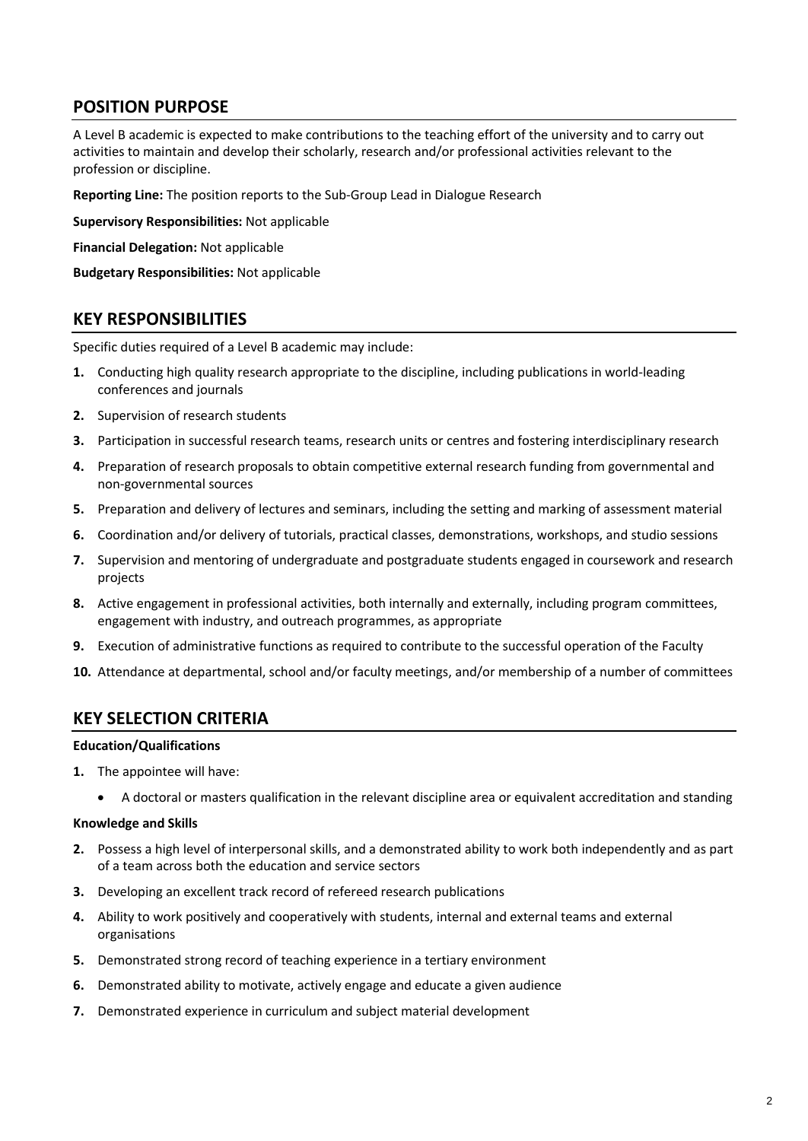# **POSITION PURPOSE**

A Level B academic is expected to make contributions to the teaching effort of the university and to carry out activities to maintain and develop their scholarly, research and/or professional activities relevant to the profession or discipline.

**Reporting Line:** The position reports to the Sub-Group Lead in Dialogue Research

**Supervisory Responsibilities:** Not applicable

**Financial Delegation:** Not applicable

**Budgetary Responsibilities:** Not applicable

### **KEY RESPONSIBILITIES**

Specific duties required of a Level B academic may include:

- **1.** Conducting high quality research appropriate to the discipline, including publications in world-leading conferences and journals
- **2.** Supervision of research students
- **3.** Participation in successful research teams, research units or centres and fostering interdisciplinary research
- **4.** Preparation of research proposals to obtain competitive external research funding from governmental and non-governmental sources
- **5.** Preparation and delivery of lectures and seminars, including the setting and marking of assessment material
- **6.** Coordination and/or delivery of tutorials, practical classes, demonstrations, workshops, and studio sessions
- **7.** Supervision and mentoring of undergraduate and postgraduate students engaged in coursework and research projects
- **8.** Active engagement in professional activities, both internally and externally, including program committees, engagement with industry, and outreach programmes, as appropriate
- **9.** Execution of administrative functions as required to contribute to the successful operation of the Faculty
- **10.** Attendance at departmental, school and/or faculty meetings, and/or membership of a number of committees

#### **KEY SELECTION CRITERIA**

#### **Education/Qualifications**

- **1.** The appointee will have:
	- A doctoral or masters qualification in the relevant discipline area or equivalent accreditation and standing

#### **Knowledge and Skills**

- **2.** Possess a high level of interpersonal skills, and a demonstrated ability to work both independently and as part of a team across both the education and service sectors
- **3.** Developing an excellent track record of refereed research publications
- **4.** Ability to work positively and cooperatively with students, internal and external teams and external organisations
- **5.** Demonstrated strong record of teaching experience in a tertiary environment
- **6.** Demonstrated ability to motivate, actively engage and educate a given audience
- **7.** Demonstrated experience in curriculum and subject material development